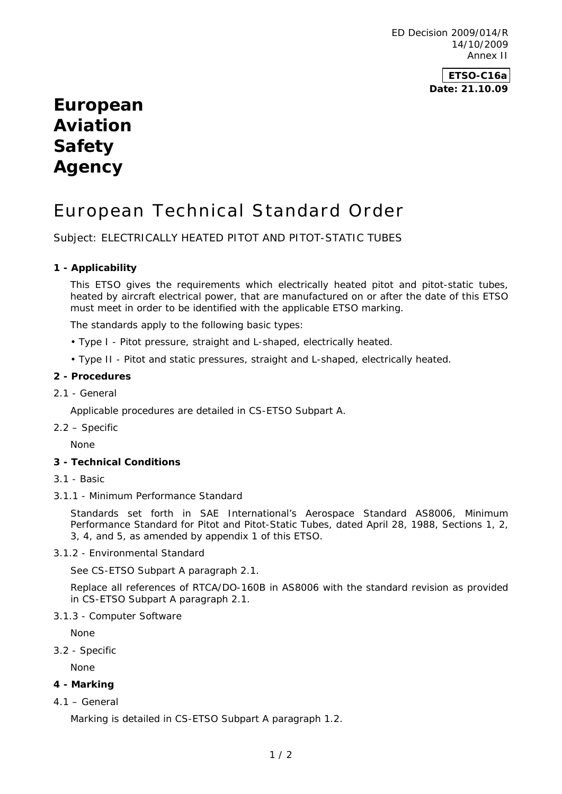ED Decision 2009/014/R 14/10/2009 Annex II

# **ETSO-C16a Date: 21.10.09**

# **European Aviation Safety Agency**

# European Technical Standard Order

Subject: ELECTRICALLY HEATED PITOT AND PITOT-STATIC TUBES

# **1 - Applicability**

This ETSO gives the requirements which electrically heated pitot and pitot-static tubes, heated by aircraft electrical power, that are manufactured on or after the date of this ETSO must meet in order to be identified with the applicable ETSO marking.

The standards apply to the following basic types:

- Type I Pitot pressure, straight and L-shaped, electrically heated.
- Type II Pitot and static pressures, straight and L-shaped, electrically heated.

#### **2 - Procedures**

2.1 - General

Applicable procedures are detailed in CS-ETSO Subpart A.

2.2 – Specific

None

### **3 - Technical Conditions**

- 3.1 Basic
- 3.1.1 Minimum Performance Standard

Standards set forth in SAE International's Aerospace Standard AS8006, Minimum Performance Standard for Pitot and Pitot-Static Tubes, dated April 28, 1988, Sections 1, 2, 3, 4, and 5, as amended by appendix 1 of this ETSO.

3.1.2 - Environmental Standard

See CS-ETSO Subpart A paragraph 2.1.

Replace all references of RTCA/DO-160B in AS8006 with the standard revision as provided in CS-ETSO Subpart A paragraph 2.1.

3.1.3 - Computer Software

None

3.2 - Specific

None

#### **4 - Marking**

4.1 – General

Marking is detailed in CS-ETSO Subpart A paragraph 1.2.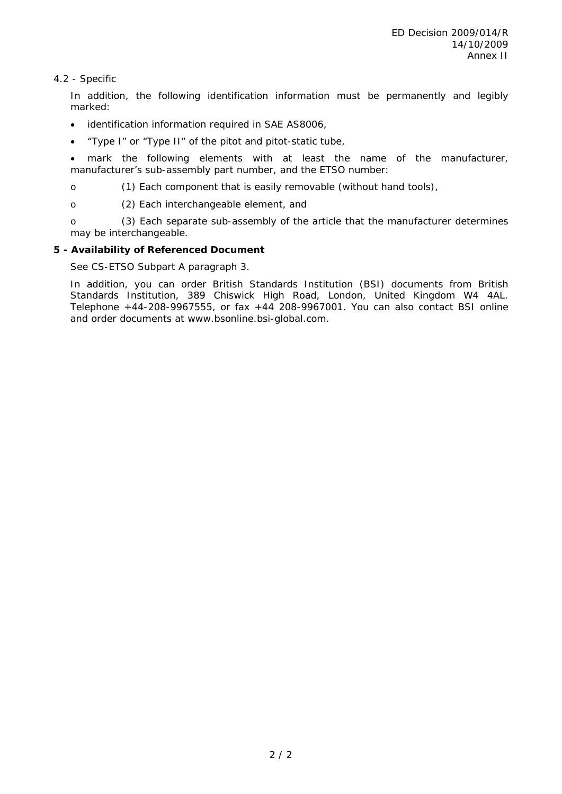# 4.2 - Specific

In addition, the following identification information must be permanently and legibly marked:

- identification information required in SAE AS8006,
- "Type I" or "Type II" of the pitot and pitot-static tube,

 mark the following elements with at least the name of the manufacturer, manufacturer's sub-assembly part number, and the ETSO number:

o (1) Each component that is easily removable (without hand tools),

o (2) Each interchangeable element, and

o (3) Each separate sub-assembly of the article that the manufacturer determines may be interchangeable.

# **5 - Availability of Referenced Document**

See CS-ETSO Subpart A paragraph 3.

In addition, you can order British Standards Institution (BSI) documents from British Standards Institution, 389 Chiswick High Road, London, United Kingdom W4 4AL. Telephone +44-208-9967555, or fax +44 208-9967001. You can also contact BSI online and order documents at www.bsonline.bsi-global.com.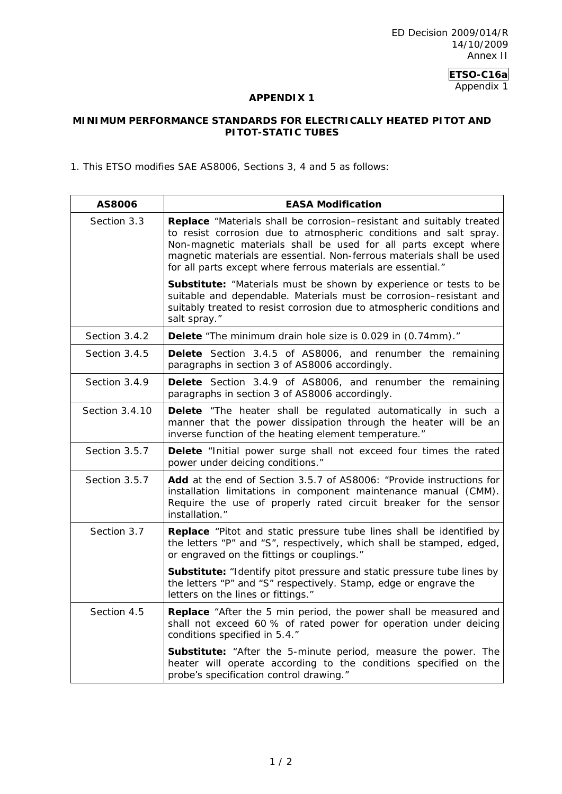ED Decision 2009/014/R 14/10/2009 Annex II

**ETSO-C16a** 

Appendix 1

# **APPENDIX 1**

# **MINIMUM PERFORMANCE STANDARDS FOR ELECTRICALLY HEATED PITOT AND PITOT-STATIC TUBES**

1. This ETSO modifies SAE AS8006, Sections 3, 4 and 5 as follows:

| <b>AS8006</b>  | <b>EASA Modification</b>                                                                                                                                                                                                                                                                                                                                     |
|----------------|--------------------------------------------------------------------------------------------------------------------------------------------------------------------------------------------------------------------------------------------------------------------------------------------------------------------------------------------------------------|
| Section 3.3    | <b>Replace</b> "Materials shall be corrosion–resistant and suitably treated<br>to resist corrosion due to atmospheric conditions and salt spray.<br>Non-magnetic materials shall be used for all parts except where<br>magnetic materials are essential. Non-ferrous materials shall be used<br>for all parts except where ferrous materials are essential." |
|                | Substitute: "Materials must be shown by experience or tests to be<br>suitable and dependable. Materials must be corrosion-resistant and<br>suitably treated to resist corrosion due to atmospheric conditions and<br>salt spray."                                                                                                                            |
| Section 3.4.2  | Delete "The minimum drain hole size is 0.029 in (0.74mm)."                                                                                                                                                                                                                                                                                                   |
| Section 3.4.5  | Delete Section 3.4.5 of AS8006, and renumber the remaining<br>paragraphs in section 3 of AS8006 accordingly.                                                                                                                                                                                                                                                 |
| Section 3.4.9  | Delete Section 3.4.9 of AS8006, and renumber the remaining<br>paragraphs in section 3 of AS8006 accordingly.                                                                                                                                                                                                                                                 |
| Section 3.4.10 | Delete "The heater shall be regulated automatically in such a<br>manner that the power dissipation through the heater will be an<br>inverse function of the heating element temperature."                                                                                                                                                                    |
| Section 3.5.7  | Delete "Initial power surge shall not exceed four times the rated<br>power under deicing conditions."                                                                                                                                                                                                                                                        |
| Section 3.5.7  | Add at the end of Section 3.5.7 of AS8006: "Provide instructions for<br>installation limitations in component maintenance manual (CMM).<br>Require the use of properly rated circuit breaker for the sensor<br>installation."                                                                                                                                |
| Section 3.7    | Replace "Pitot and static pressure tube lines shall be identified by<br>the letters "P" and "S", respectively, which shall be stamped, edged,<br>or engraved on the fittings or couplings."                                                                                                                                                                  |
|                | Substitute: "Identify pitot pressure and static pressure tube lines by<br>the letters "P" and "S" respectively. Stamp, edge or engrave the<br>letters on the lines or fittings."                                                                                                                                                                             |
| Section 4.5    | Replace "After the 5 min period, the power shall be measured and<br>shall not exceed 60 % of rated power for operation under deicing<br>conditions specified in 5.4."                                                                                                                                                                                        |
|                | Substitute: "After the 5-minute period, measure the power. The<br>heater will operate according to the conditions specified on the<br>probe's specification control drawing."                                                                                                                                                                                |